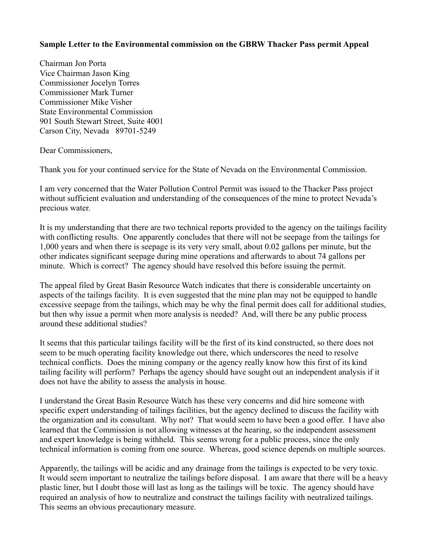## **Sample Letter to the Environmental commission on the GBRW Thacker Pass permit Appeal**

Chairman Jon Porta Vice Chairman Jason King Commissioner Jocelyn Torres Commissioner Mark Turner Commissioner Mike Visher State Environmental Commission 901 South Stewart Street, Suite 4001 Carson City, Nevada 89701-5249

Dear Commissioners,

Thank you for your continued service for the State of Nevada on the Environmental Commission.

I am very concerned that the Water Pollution Control Permit was issued to the Thacker Pass project without sufficient evaluation and understanding of the consequences of the mine to protect Nevada's precious water.

It is my understanding that there are two technical reports provided to the agency on the tailings facility with conflicting results. One apparently concludes that there will not be seepage from the tailings for 1,000 years and when there is seepage is its very very small, about 0.02 gallons per minute, but the other indicates significant seepage during mine operations and afterwards to about 74 gallons per minute. Which is correct? The agency should have resolved this before issuing the permit.

The appeal filed by Great Basin Resource Watch indicates that there is considerable uncertainty on aspects of the tailings facility. It is even suggested that the mine plan may not be equipped to handle excessive seepage from the tailings, which may be why the final permit does call for additional studies, but then why issue a permit when more analysis is needed? And, will there be any public process around these additional studies?

It seems that this particular tailings facility will be the first of its kind constructed, so there does not seem to be much operating facility knowledge out there, which underscores the need to resolve technical conflicts. Does the mining company or the agency really know how this first of its kind tailing facility will perform? Perhaps the agency should have sought out an independent analysis if it does not have the ability to assess the analysis in house.

I understand the Great Basin Resource Watch has these very concerns and did hire someone with specific expert understanding of tailings facilities, but the agency declined to discuss the facility with the organization and its consultant. Why not? That would seem to have been a good offer. I have also learned that the Commission is not allowing witnesses at the hearing, so the independent assessment and expert knowledge is being withheld. This seems wrong for a public process, since the only technical information is coming from one source. Whereas, good science depends on multiple sources.

Apparently, the tailings will be acidic and any drainage from the tailings is expected to be very toxic. It would seem important to neutralize the tailings before disposal. I am aware that there will be a heavy plastic liner, but I doubt those will last as long as the tailings will be toxic. The agency should have required an analysis of how to neutralize and construct the tailings facility with neutralized tailings. This seems an obvious precautionary measure.